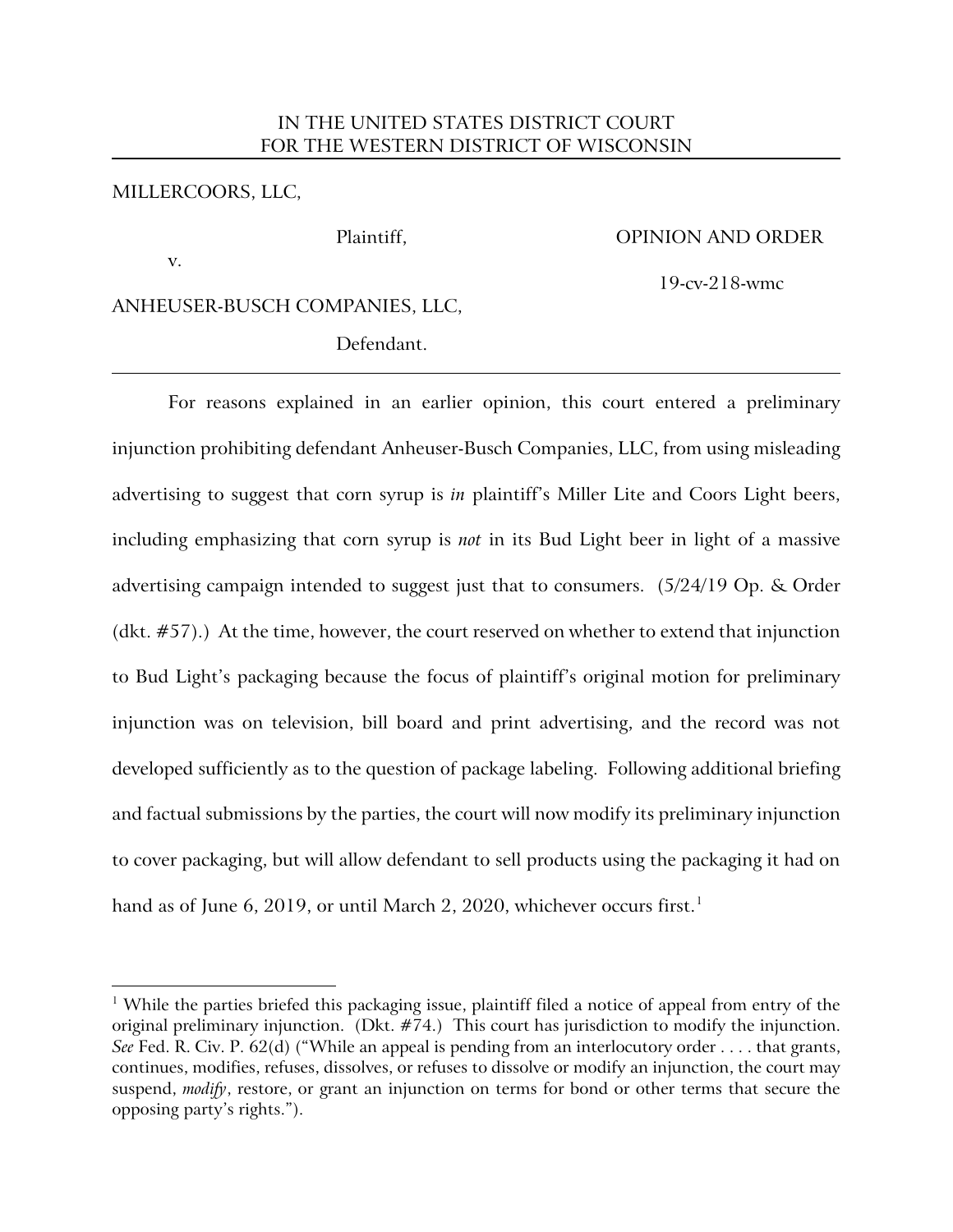## IN THE UNITED STATES DISTRICT COURT FOR THE WESTERN DISTRICT OF WISCONSIN

### MILLERCOORS, LLC,

#### Plaintiff, OPINION AND ORDER

v.

 $\overline{a}$ 

19-cv-218-wmc

## ANHEUSER-BUSCH COMPANIES, LLC,

Defendant.

For reasons explained in an earlier opinion, this court entered a preliminary injunction prohibiting defendant Anheuser-Busch Companies, LLC, from using misleading advertising to suggest that corn syrup is *in* plaintiff's Miller Lite and Coors Light beers, including emphasizing that corn syrup is *not* in its Bud Light beer in light of a massive advertising campaign intended to suggest just that to consumers. (5/24/19 Op. & Order (dkt. #57).) At the time, however, the court reserved on whether to extend that injunction to Bud Light's packaging because the focus of plaintiff's original motion for preliminary injunction was on television, bill board and print advertising, and the record was not developed sufficiently as to the question of package labeling. Following additional briefing and factual submissions by the parties, the court will now modify its preliminary injunction to cover packaging, but will allow defendant to sell products using the packaging it had on hand as of June 6, 2019, or until March 2, 2020, whichever occurs first. [1](#page-0-0)

<span id="page-0-0"></span><sup>&</sup>lt;sup>1</sup> While the parties briefed this packaging issue, plaintiff filed a notice of appeal from entry of the original preliminary injunction. (Dkt. #74.) This court has jurisdiction to modify the injunction. *See* Fed. R. Civ. P. 62(d) ("While an appeal is pending from an interlocutory order . . . . that grants, continues, modifies, refuses, dissolves, or refuses to dissolve or modify an injunction, the court may suspend, *modify*, restore, or grant an injunction on terms for bond or other terms that secure the opposing party's rights.").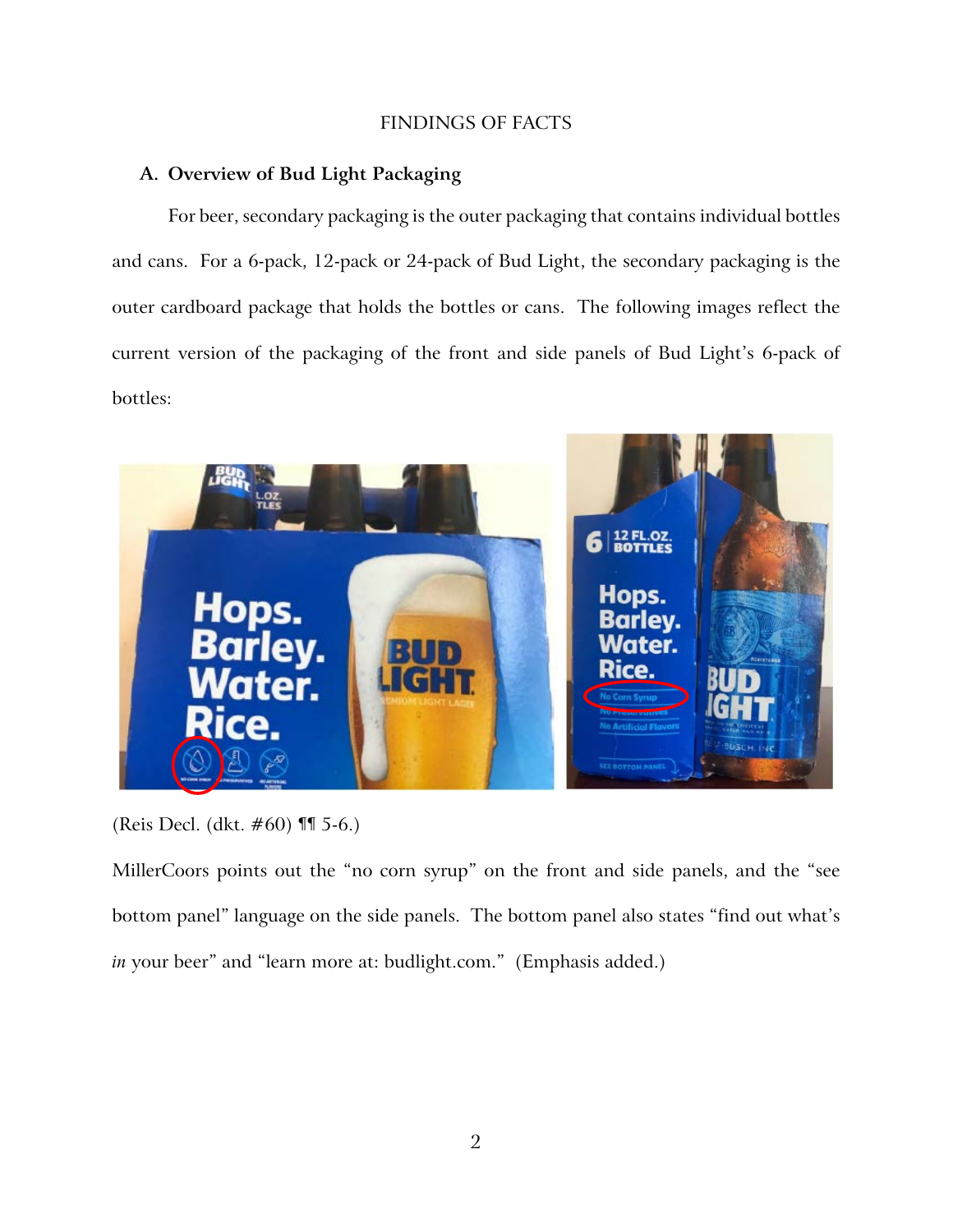# FINDINGS OF FACTS

### **A. Overview of Bud Light Packaging**

For beer, secondary packaging is the outer packaging that contains individual bottles and cans. For a 6-pack, 12-pack or 24-pack of Bud Light, the secondary packaging is the outer cardboard package that holds the bottles or cans. The following images reflect the current version of the packaging of the front and side panels of Bud Light's 6-pack of bottles:



(Reis Decl. (dkt. #60) ¶¶ 5-6.)

MillerCoors points out the "no corn syrup" on the front and side panels, and the "see bottom panel" language on the side panels. The bottom panel also states "find out what's *in* your beer" and "learn more at: budlight.com." (Emphasis added.)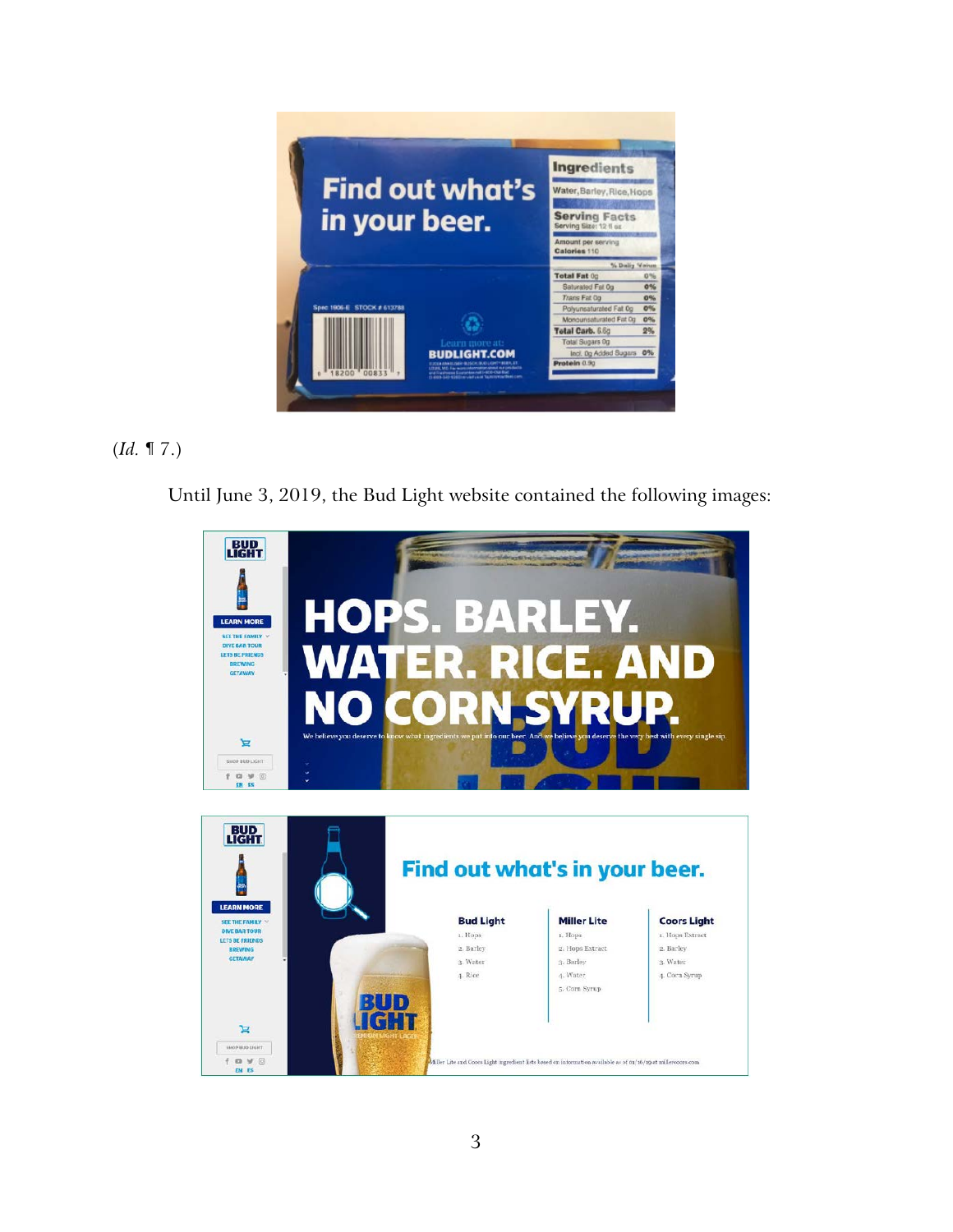

# (*Id.* ¶ 7.)

Until June 3, 2019, the Bud Light website contained the following images:

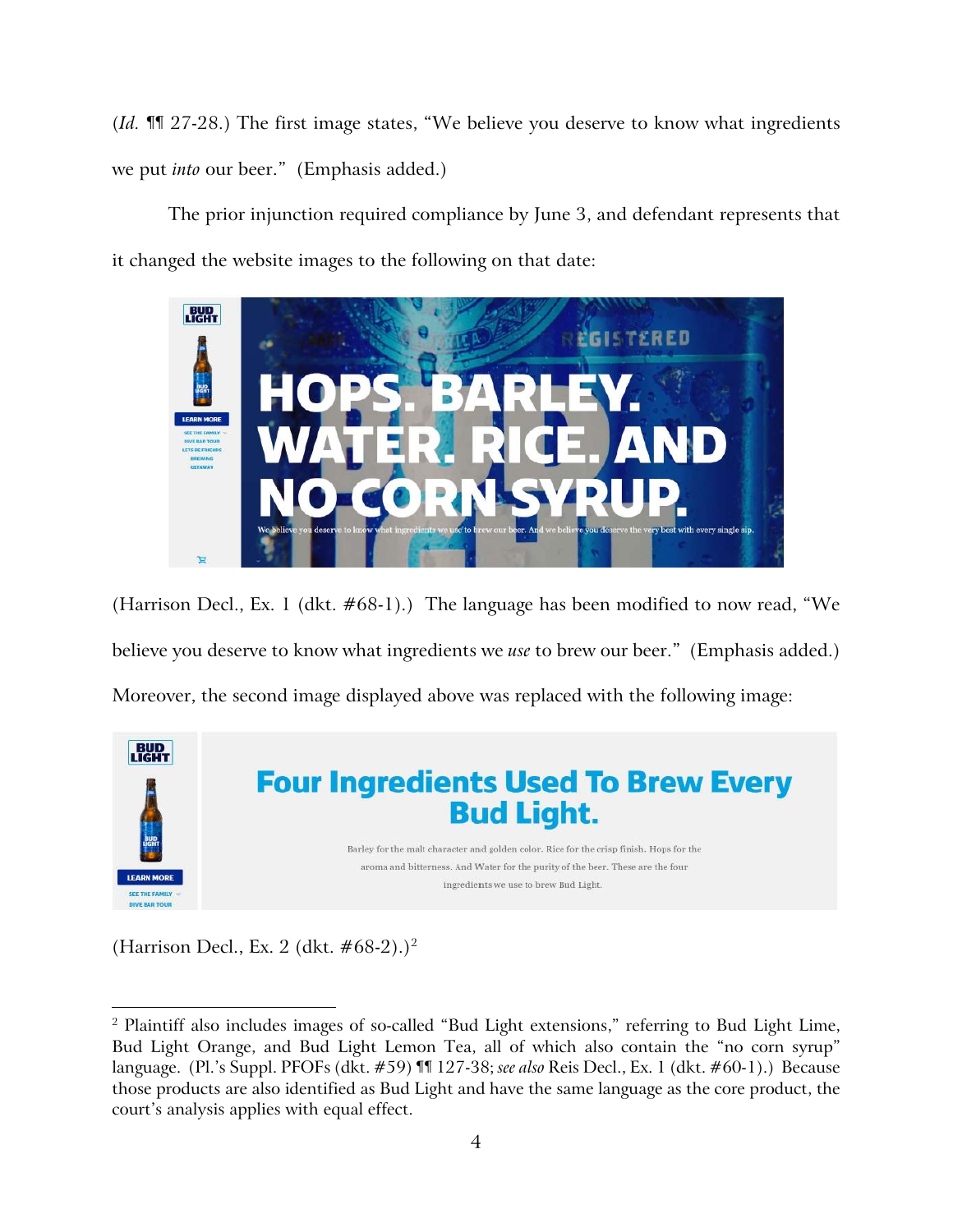(*Id.* ¶¶ 27-28.) The first image states, "We believe you deserve to know what ingredients we put *into* our beer." (Emphasis added.)

The prior injunction required compliance by June 3, and defendant represents that it changed the website images to the following on that date:



(Harrison Decl., Ex. 1 (dkt. #68-1).) The language has been modified to now read, "We believe you deserve to know what ingredients we *use* to brew our beer." (Emphasis added.) Moreover, the second image displayed above was replaced with the following image:



(Harrison Decl., Ex. [2](#page-3-0) (dkt.  $#68-2$ ).)<sup>2</sup>

<span id="page-3-0"></span> $\overline{a}$  $^2$  Plaintiff also includes images of so-called "Bud Light extensions," referring to Bud Light Lime, Bud Light Orange, and Bud Light Lemon Tea, all of which also contain the "no corn syrup" language. (Pl.'s Suppl. PFOFs (dkt. #59) ¶¶ 127-38; *see also* Reis Decl., Ex. 1 (dkt. #60-1).) Because those products are also identified as Bud Light and have the same language as the core product, the court's analysis applies with equal effect.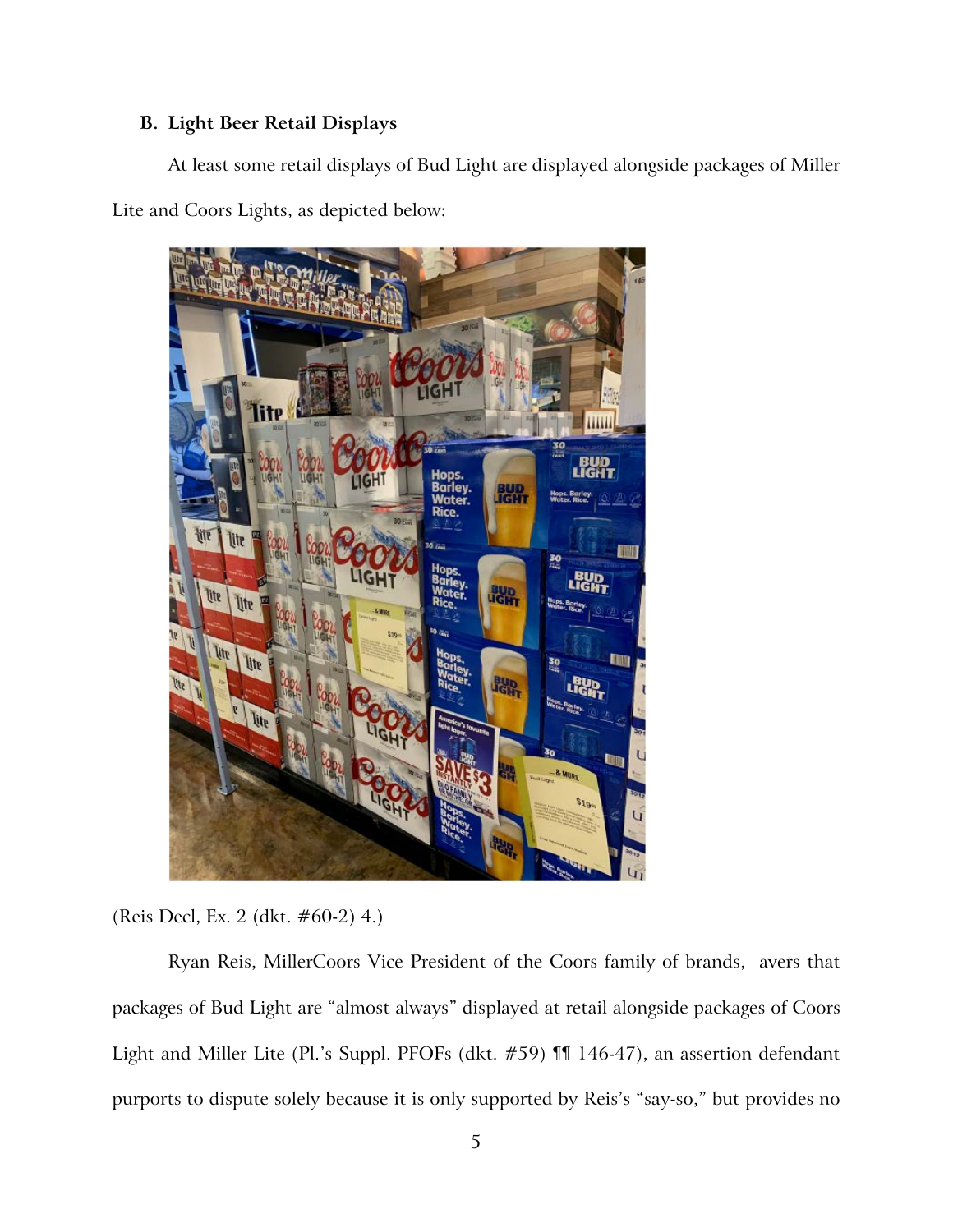# **B. Light Beer Retail Displays**

At least some retail displays of Bud Light are displayed alongside packages of Miller Lite and Coors Lights, as depicted below:



(Reis Decl, Ex. 2 (dkt. #60-2) 4.)

Ryan Reis, MillerCoors Vice President of the Coors family of brands, avers that packages of Bud Light are "almost always" displayed at retail alongside packages of Coors Light and Miller Lite (Pl.'s Suppl. PFOFs (dkt. #59) ¶¶ 146-47), an assertion defendant purports to dispute solely because it is only supported by Reis's "say-so," but provides no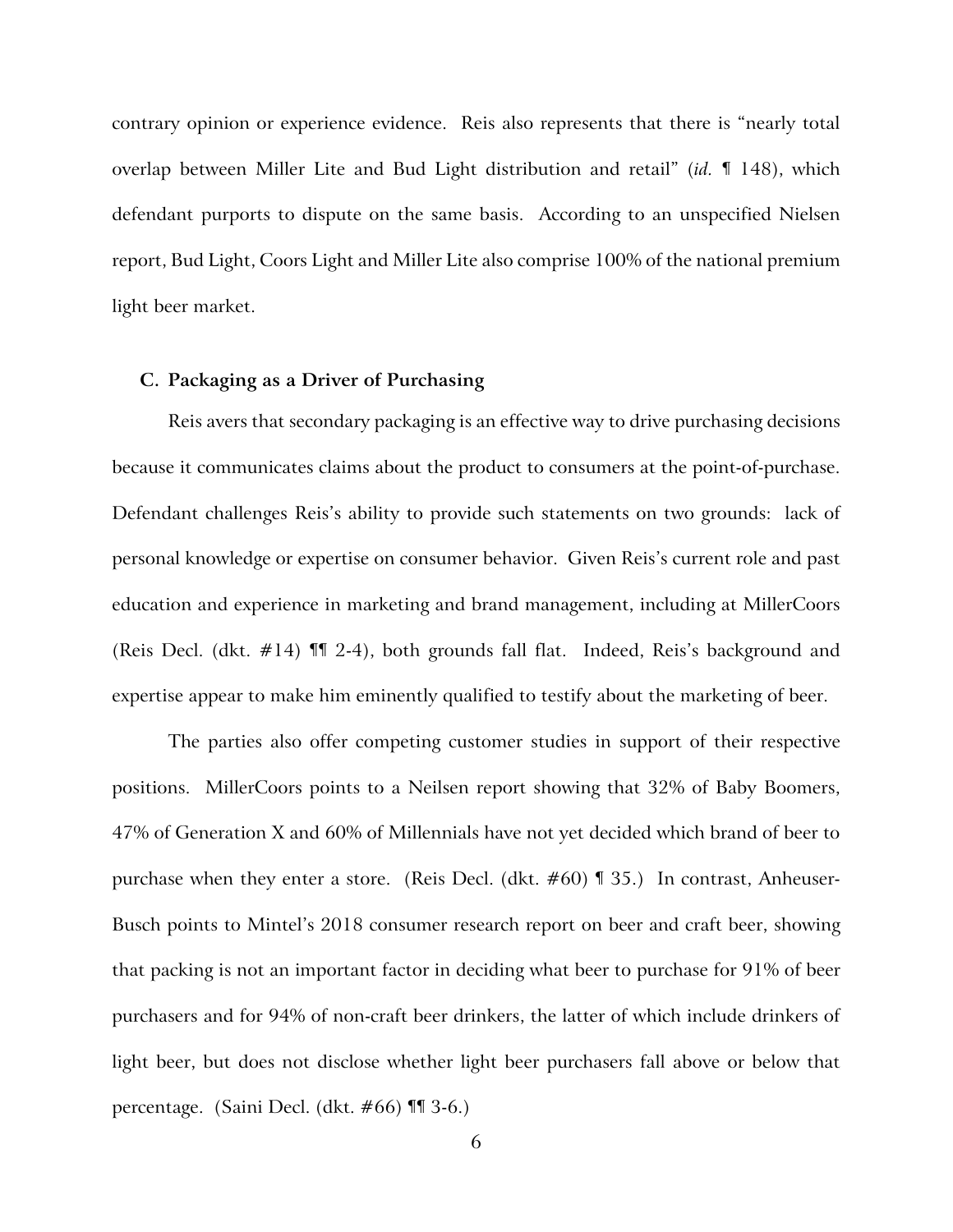contrary opinion or experience evidence. Reis also represents that there is "nearly total overlap between Miller Lite and Bud Light distribution and retail" (*id.* ¶ 148), which defendant purports to dispute on the same basis. According to an unspecified Nielsen report, Bud Light, Coors Light and Miller Lite also comprise 100% of the national premium light beer market.

### **C. Packaging as a Driver of Purchasing**

Reis avers that secondary packaging is an effective way to drive purchasing decisions because it communicates claims about the product to consumers at the point-of-purchase. Defendant challenges Reis's ability to provide such statements on two grounds: lack of personal knowledge or expertise on consumer behavior. Given Reis's current role and past education and experience in marketing and brand management, including at MillerCoors (Reis Decl. (dkt. #14) ¶¶ 2-4), both grounds fall flat. Indeed, Reis's background and expertise appear to make him eminently qualified to testify about the marketing of beer.

The parties also offer competing customer studies in support of their respective positions. MillerCoors points to a Neilsen report showing that 32% of Baby Boomers, 47% of Generation X and 60% of Millennials have not yet decided which brand of beer to purchase when they enter a store. (Reis Decl. (dkt. #60) ¶ 35.) In contrast, Anheuser-Busch points to Mintel's 2018 consumer research report on beer and craft beer, showing that packing is not an important factor in deciding what beer to purchase for 91% of beer purchasers and for 94% of non-craft beer drinkers, the latter of which include drinkers of light beer, but does not disclose whether light beer purchasers fall above or below that percentage. (Saini Decl. (dkt. #66) ¶¶ 3-6.)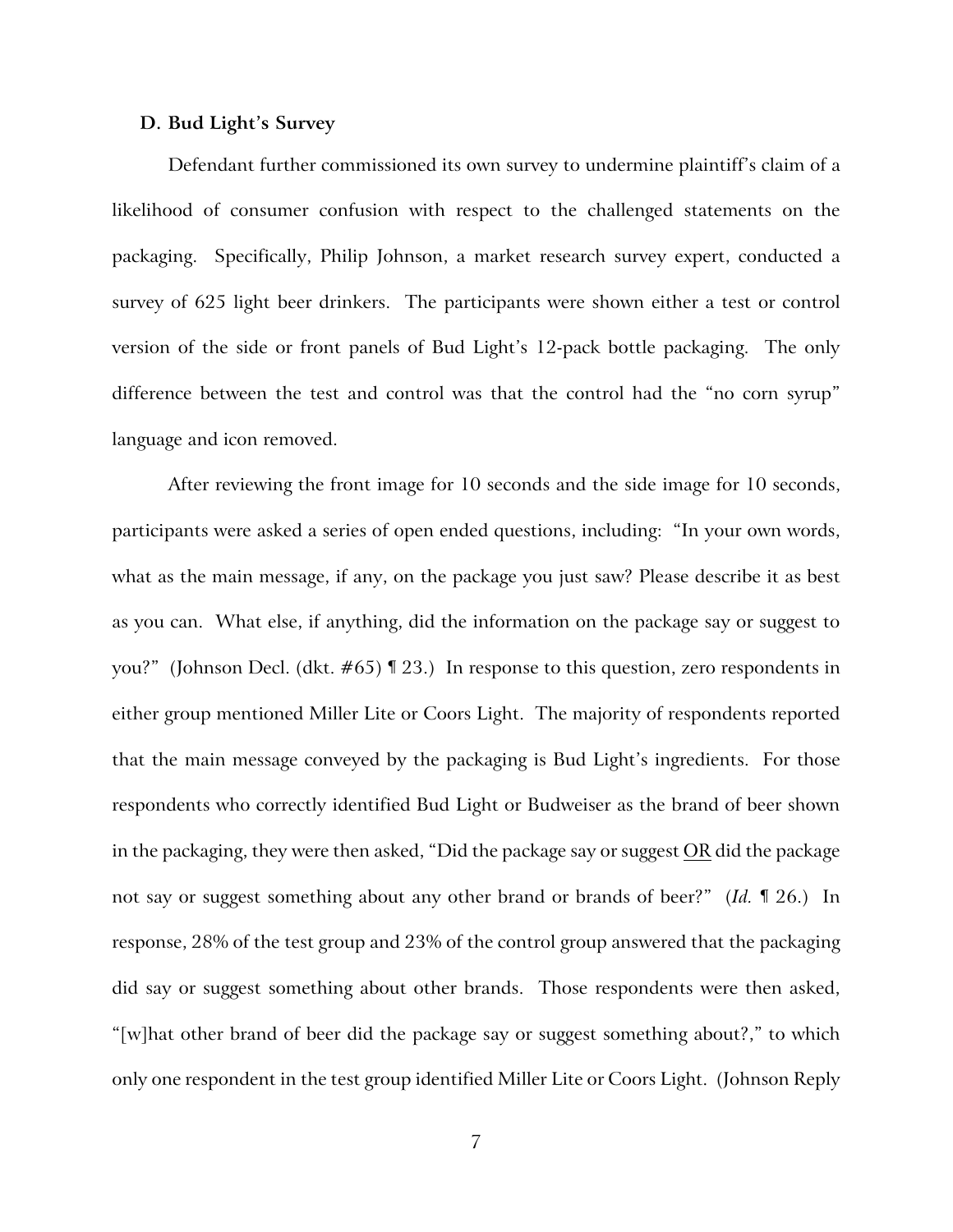### **D. Bud Light's Survey**

Defendant further commissioned its own survey to undermine plaintiff's claim of a likelihood of consumer confusion with respect to the challenged statements on the packaging. Specifically, Philip Johnson, a market research survey expert, conducted a survey of 625 light beer drinkers. The participants were shown either a test or control version of the side or front panels of Bud Light's 12-pack bottle packaging. The only difference between the test and control was that the control had the "no corn syrup" language and icon removed.

After reviewing the front image for 10 seconds and the side image for 10 seconds, participants were asked a series of open ended questions, including: "In your own words, what as the main message, if any, on the package you just saw? Please describe it as best as you can. What else, if anything, did the information on the package say or suggest to you?" (Johnson Decl. (dkt. #65) ¶ 23.) In response to this question, zero respondents in either group mentioned Miller Lite or Coors Light. The majority of respondents reported that the main message conveyed by the packaging is Bud Light's ingredients. For those respondents who correctly identified Bud Light or Budweiser as the brand of beer shown in the packaging, they were then asked, "Did the package say or suggest OR did the package not say or suggest something about any other brand or brands of beer?" (*Id.* ¶ 26.) In response, 28% of the test group and 23% of the control group answered that the packaging did say or suggest something about other brands. Those respondents were then asked, "[w]hat other brand of beer did the package say or suggest something about?," to which only one respondent in the test group identified Miller Lite or Coors Light. (Johnson Reply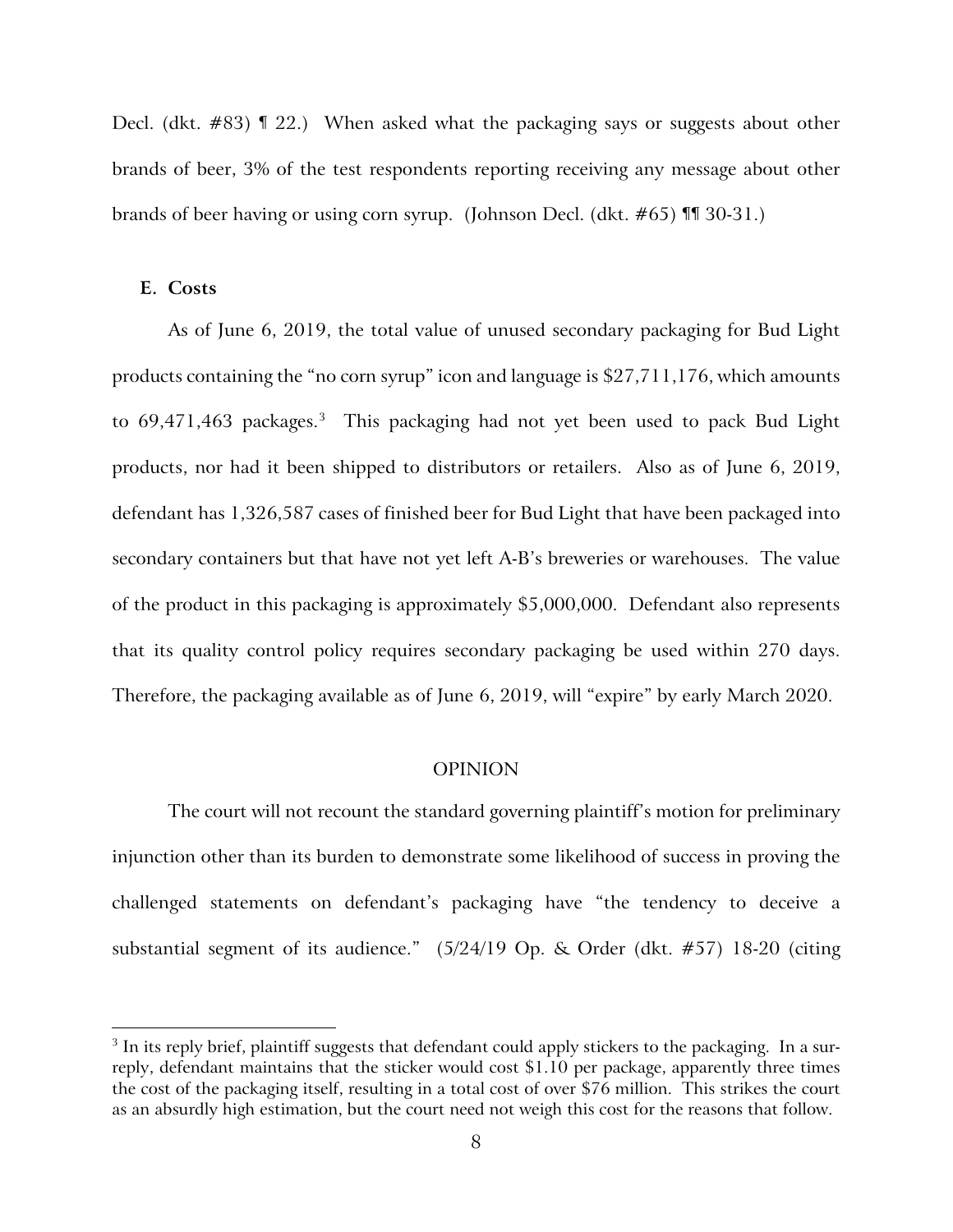Decl. (dkt. #83) ¶ 22.) When asked what the packaging says or suggests about other brands of beer, 3% of the test respondents reporting receiving any message about other brands of beer having or using corn syrup. (Johnson Decl. (dkt. #65) ¶¶ 30-31.)

#### **E. Costs**

 $\overline{a}$ 

As of June 6, 2019, the total value of unused secondary packaging for Bud Light products containing the "no corn syrup" icon and language is \$27,711,176, which amounts to 69,471,46[3](#page-7-0) packages.<sup>3</sup> This packaging had not yet been used to pack Bud Light products, nor had it been shipped to distributors or retailers. Also as of June 6, 2019, defendant has 1,326,587 cases of finished beer for Bud Light that have been packaged into secondary containers but that have not yet left A-B's breweries or warehouses. The value of the product in this packaging is approximately \$5,000,000. Defendant also represents that its quality control policy requires secondary packaging be used within 270 days. Therefore, the packaging available as of June 6, 2019, will "expire" by early March 2020.

### OPINION

The court will not recount the standard governing plaintiff's motion for preliminary injunction other than its burden to demonstrate some likelihood of success in proving the challenged statements on defendant's packaging have "the tendency to deceive a substantial segment of its audience." (5/24/19 Op. & Order (dkt. #57) 18-20 (citing

<span id="page-7-0"></span><sup>&</sup>lt;sup>3</sup> In its reply brief, plaintiff suggests that defendant could apply stickers to the packaging. In a surreply, defendant maintains that the sticker would cost \$1.10 per package, apparently three times the cost of the packaging itself, resulting in a total cost of over \$76 million. This strikes the court as an absurdly high estimation, but the court need not weigh this cost for the reasons that follow.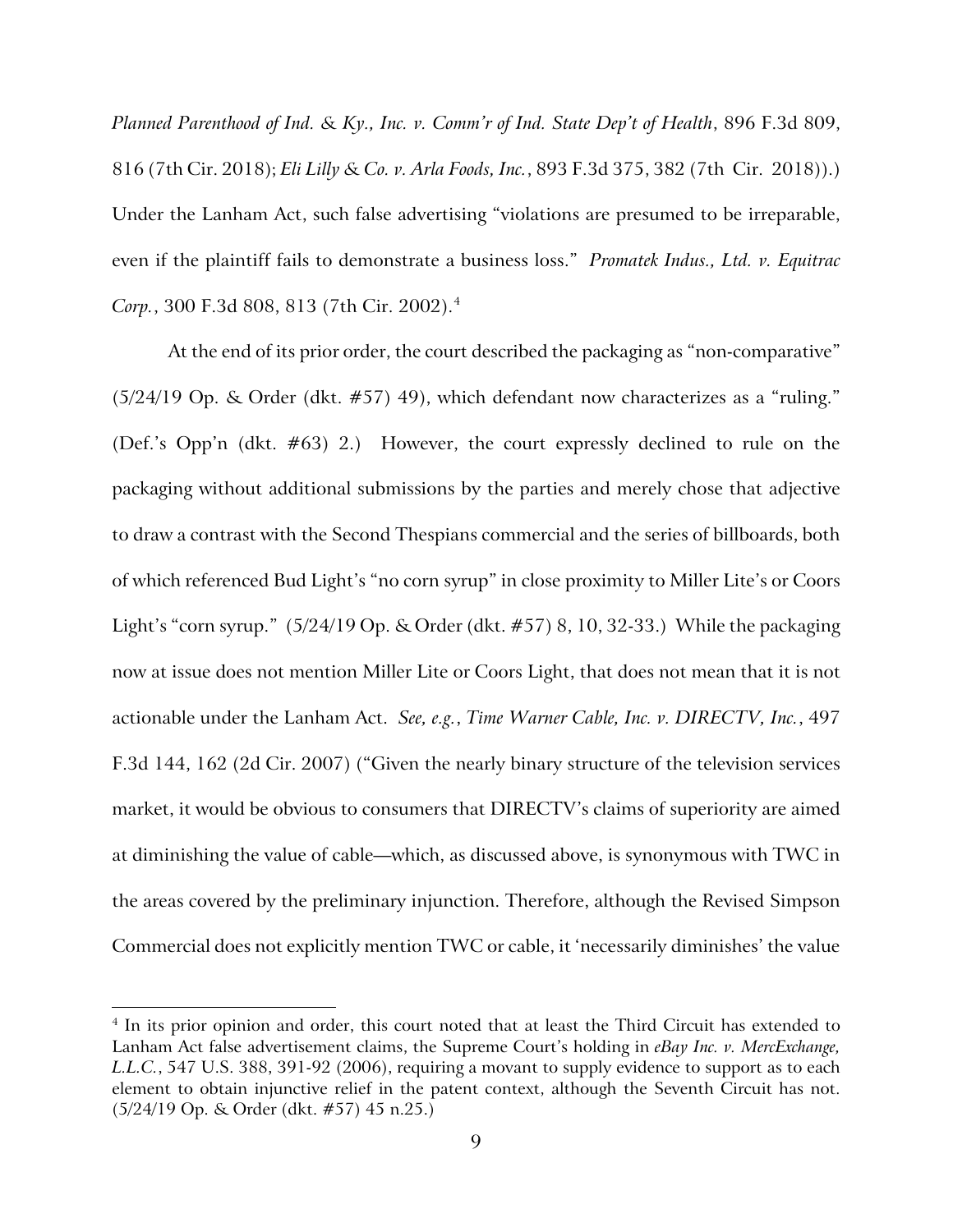*Planned Parenthood of Ind. & Ky., Inc. v. Comm'r of Ind. State Dep't of Health*, 896 F.3d 809, 816 (7th Cir. 2018); *Eli Lilly & Co. v. Arla Foods, Inc.*, 893 F.3d 375, 382 (7th Cir. 2018)).) Under the Lanham Act, such false advertising "violations are presumed to be irreparable, even if the plaintiff fails to demonstrate a business loss." *Promatek Indus., Ltd. v. Equitrac Corp.*, 300 F.3d 808, 813 (7th Cir. 2002).[4](#page-8-0)

At the end of its prior order, the court described the packaging as "non-comparative" (5/24/19 Op. & Order (dkt. #57) 49), which defendant now characterizes as a "ruling." (Def.'s Opp'n (dkt. #63) 2.) However, the court expressly declined to rule on the packaging without additional submissions by the parties and merely chose that adjective to draw a contrast with the Second Thespians commercial and the series of billboards, both of which referenced Bud Light's "no corn syrup" in close proximity to Miller Lite's or Coors Light's "corn syrup." (5/24/19 Op. & Order (dkt. #57) 8, 10, 32-33.) While the packaging now at issue does not mention Miller Lite or Coors Light, that does not mean that it is not actionable under the Lanham Act. *See, e.g.*, *Time Warner Cable, Inc. v. DIRECTV, Inc.*, 497 F.3d 144, 162 (2d Cir. 2007) ("Given the nearly binary structure of the television services market, it would be obvious to consumers that DIRECTV's claims of superiority are aimed at diminishing the value of cable—which, as discussed above, is synonymous with TWC in the areas covered by the preliminary injunction. Therefore, although the Revised Simpson Commercial does not explicitly mention TWC or cable, it 'necessarily diminishes' the value

 $\overline{a}$ 

<span id="page-8-0"></span><sup>&</sup>lt;sup>4</sup> In its prior opinion and order, this court noted that at least the Third Circuit has extended to Lanham Act false advertisement claims, the Supreme Court's holding in *eBay Inc. v. MercExchange, L.L.C.*, 547 U.S. 388, 391-92 (2006), requiring a movant to supply evidence to support as to each element to obtain injunctive relief in the patent context, although the Seventh Circuit has not. (5/24/19 Op. & Order (dkt. #57) 45 n.25.)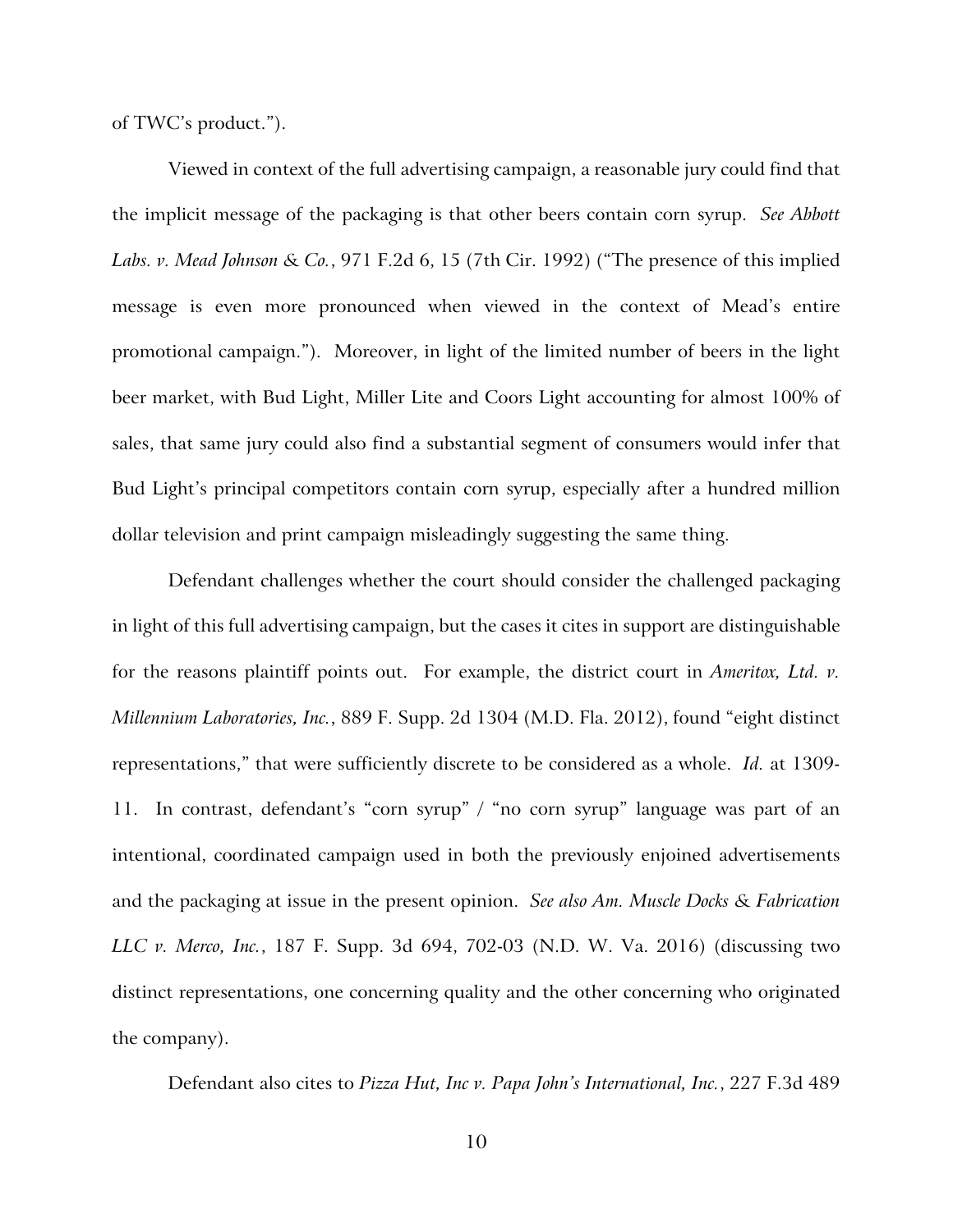of TWC's product.").

Viewed in context of the full advertising campaign, a reasonable jury could find that the implicit message of the packaging is that other beers contain corn syrup. *See Abbott Labs. v. Mead Johnson & Co.*, 971 F.2d 6, 15 (7th Cir. 1992) ("The presence of this implied message is even more pronounced when viewed in the context of Mead's entire promotional campaign."). Moreover, in light of the limited number of beers in the light beer market, with Bud Light, Miller Lite and Coors Light accounting for almost 100% of sales, that same jury could also find a substantial segment of consumers would infer that Bud Light's principal competitors contain corn syrup, especially after a hundred million dollar television and print campaign misleadingly suggesting the same thing.

Defendant challenges whether the court should consider the challenged packaging in light of this full advertising campaign, but the cases it cites in support are distinguishable for the reasons plaintiff points out. For example, the district court in *Ameritox, Ltd. v. Millennium Laboratories, Inc.*, 889 F. Supp. 2d 1304 (M.D. Fla. 2012), found "eight distinct representations," that were sufficiently discrete to be considered as a whole. *Id.* at 1309- 11. In contrast, defendant's "corn syrup" / "no corn syrup" language was part of an intentional, coordinated campaign used in both the previously enjoined advertisements and the packaging at issue in the present opinion. *See also Am. Muscle Docks & Fabrication LLC v. Merco, Inc.*, 187 F. Supp. 3d 694, 702-03 (N.D. W. Va. 2016) (discussing two distinct representations, one concerning quality and the other concerning who originated the company).

Defendant also cites to *Pizza Hut, Inc v. Papa John's International, Inc.*, 227 F.3d 489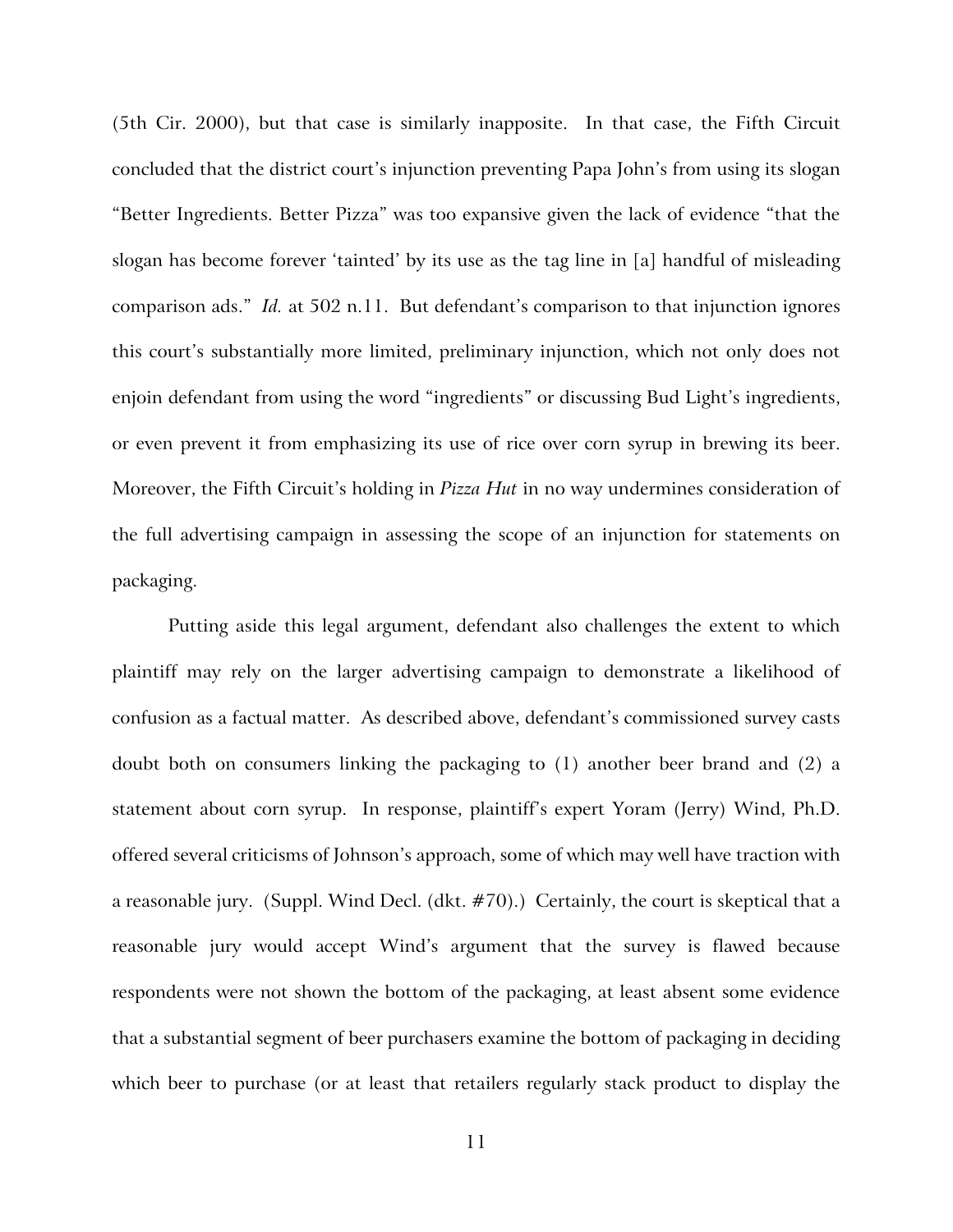(5th Cir. 2000), but that case is similarly inapposite. In that case, the Fifth Circuit concluded that the district court's injunction preventing Papa John's from using its slogan "Better Ingredients. Better Pizza" was too expansive given the lack of evidence "that the slogan has become forever 'tainted' by its use as the tag line in [a] handful of misleading comparison ads." *Id.* at 502 n.11. But defendant's comparison to that injunction ignores this court's substantially more limited, preliminary injunction, which not only does not enjoin defendant from using the word "ingredients" or discussing Bud Light's ingredients, or even prevent it from emphasizing its use of rice over corn syrup in brewing its beer. Moreover, the Fifth Circuit's holding in *Pizza Hut* in no way undermines consideration of the full advertising campaign in assessing the scope of an injunction for statements on packaging.

Putting aside this legal argument, defendant also challenges the extent to which plaintiff may rely on the larger advertising campaign to demonstrate a likelihood of confusion as a factual matter. As described above, defendant's commissioned survey casts doubt both on consumers linking the packaging to (1) another beer brand and (2) a statement about corn syrup. In response, plaintiff's expert Yoram (Jerry) Wind, Ph.D. offered several criticisms of Johnson's approach, some of which may well have traction with a reasonable jury. (Suppl. Wind Decl. (dkt. #70).) Certainly, the court is skeptical that a reasonable jury would accept Wind's argument that the survey is flawed because respondents were not shown the bottom of the packaging, at least absent some evidence that a substantial segment of beer purchasers examine the bottom of packaging in deciding which beer to purchase (or at least that retailers regularly stack product to display the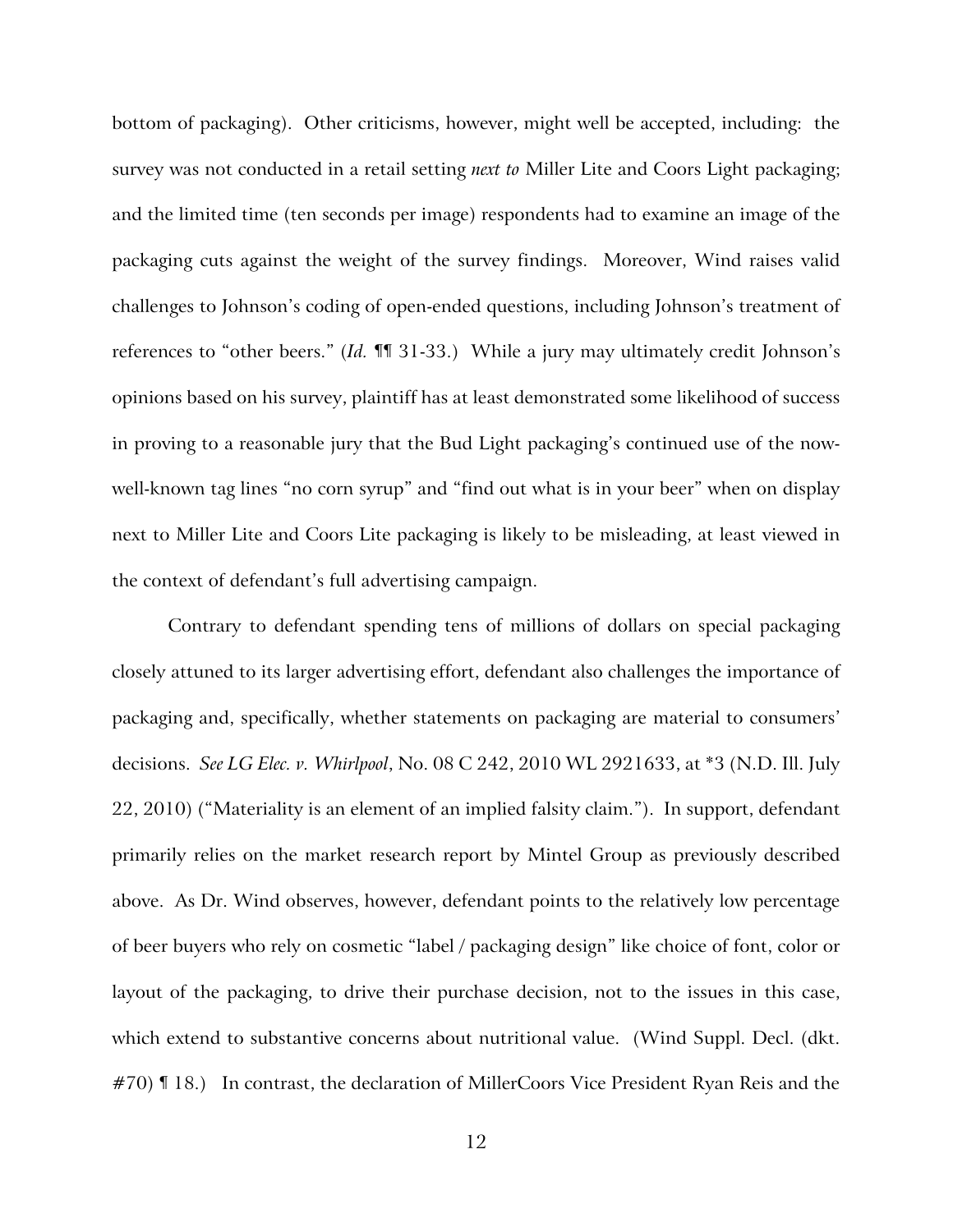bottom of packaging). Other criticisms, however, might well be accepted, including: the survey was not conducted in a retail setting *next to* Miller Lite and Coors Light packaging; and the limited time (ten seconds per image) respondents had to examine an image of the packaging cuts against the weight of the survey findings. Moreover, Wind raises valid challenges to Johnson's coding of open-ended questions, including Johnson's treatment of references to "other beers." (*Id.* ¶¶ 31-33.) While a jury may ultimately credit Johnson's opinions based on his survey, plaintiff has at least demonstrated some likelihood of success in proving to a reasonable jury that the Bud Light packaging's continued use of the nowwell-known tag lines "no corn syrup" and "find out what is in your beer" when on display next to Miller Lite and Coors Lite packaging is likely to be misleading, at least viewed in the context of defendant's full advertising campaign.

Contrary to defendant spending tens of millions of dollars on special packaging closely attuned to its larger advertising effort, defendant also challenges the importance of packaging and, specifically, whether statements on packaging are material to consumers' decisions. *See LG Elec. v. Whirlpool*, No. 08 C 242, 2010 WL 2921633, at \*3 (N.D. Ill. July 22, 2010) ("Materiality is an element of an implied falsity claim."). In support, defendant primarily relies on the market research report by Mintel Group as previously described above. As Dr. Wind observes, however, defendant points to the relatively low percentage of beer buyers who rely on cosmetic "label / packaging design" like choice of font, color or layout of the packaging, to drive their purchase decision, not to the issues in this case, which extend to substantive concerns about nutritional value. (Wind Suppl. Decl. (dkt. #70) II 18.) In contrast, the declaration of MillerCoors Vice President Ryan Reis and the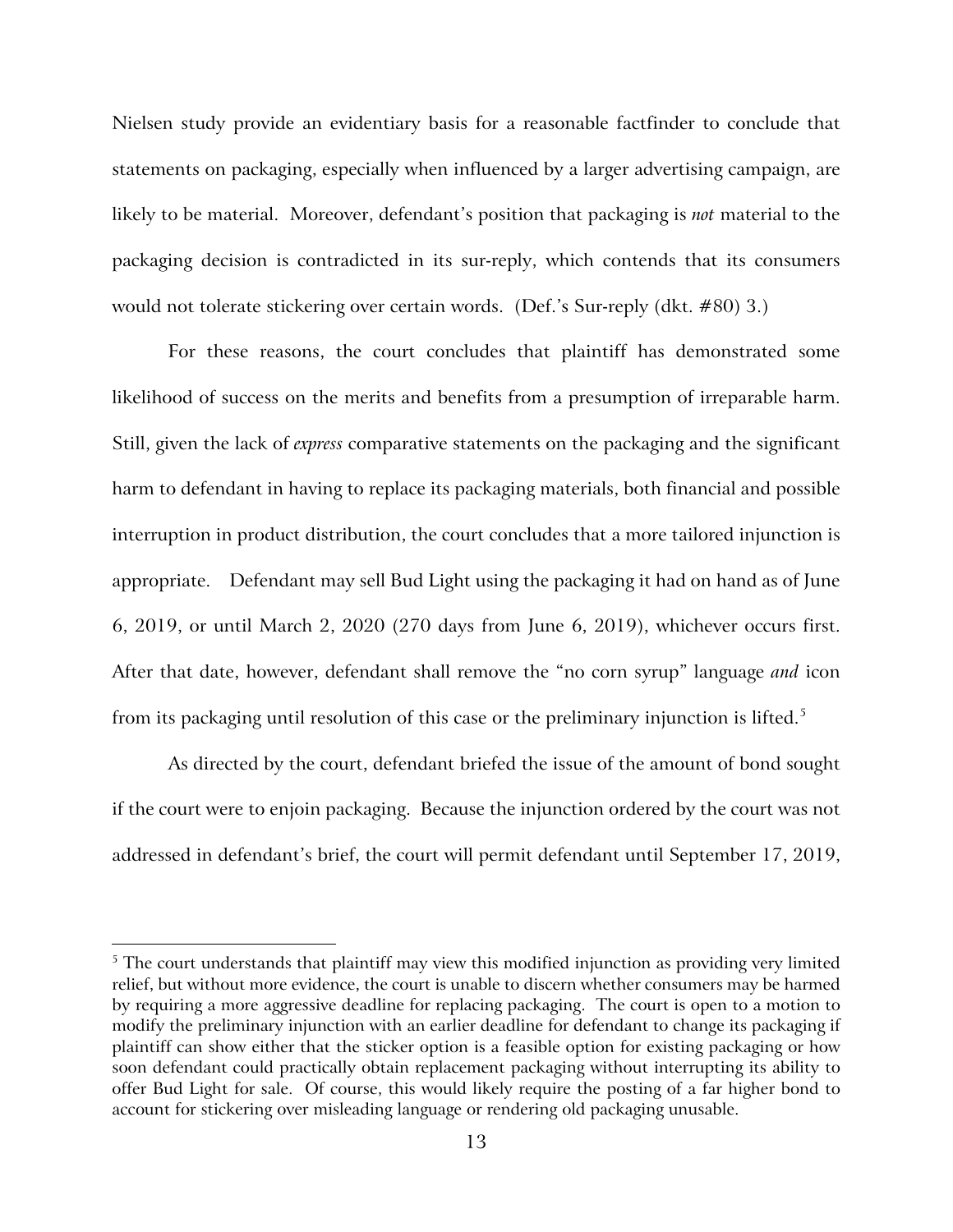Nielsen study provide an evidentiary basis for a reasonable factfinder to conclude that statements on packaging, especially when influenced by a larger advertising campaign, are likely to be material. Moreover, defendant's position that packaging is *not* material to the packaging decision is contradicted in its sur-reply, which contends that its consumers would not tolerate stickering over certain words. (Def.'s Sur-reply (dkt. #80) 3.)

For these reasons, the court concludes that plaintiff has demonstrated some likelihood of success on the merits and benefits from a presumption of irreparable harm. Still, given the lack of *express* comparative statements on the packaging and the significant harm to defendant in having to replace its packaging materials, both financial and possible interruption in product distribution, the court concludes that a more tailored injunction is appropriate. Defendant may sell Bud Light using the packaging it had on hand as of June 6, 2019, or until March 2, 2020 (270 days from June 6, 2019), whichever occurs first. After that date, however, defendant shall remove the "no corn syrup" language *and* icon from its packaging until resolution of this case or the preliminary injunction is lifted. [5](#page-12-0)

As directed by the court, defendant briefed the issue of the amount of bond sought if the court were to enjoin packaging. Because the injunction ordered by the court was not addressed in defendant's brief, the court will permit defendant until September 17, 2019,

 $\overline{a}$ 

<span id="page-12-0"></span><sup>&</sup>lt;sup>5</sup> The court understands that plaintiff may view this modified injunction as providing very limited relief, but without more evidence, the court is unable to discern whether consumers may be harmed by requiring a more aggressive deadline for replacing packaging. The court is open to a motion to modify the preliminary injunction with an earlier deadline for defendant to change its packaging if plaintiff can show either that the sticker option is a feasible option for existing packaging or how soon defendant could practically obtain replacement packaging without interrupting its ability to offer Bud Light for sale. Of course, this would likely require the posting of a far higher bond to account for stickering over misleading language or rendering old packaging unusable.